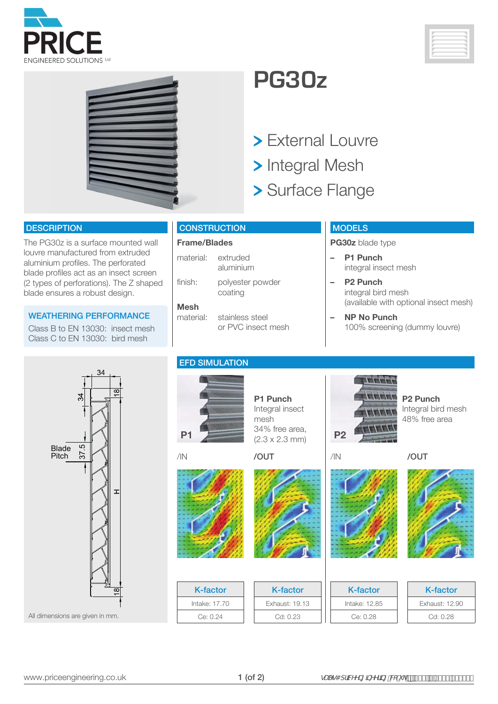





## **PG30z**

- > External Louvre
- > Integral Mesh
- Surface Flange

#### **DESCRIPTION**

The PG30z is a surface mounted wall louvre manufactured from extruded aluminium profiles. The perforated blade profiles act as an insect screen (2 types of perforations). The Z shaped blade ensures a robust design.

#### WEATHERING PERFORMANCE

Class B to EN 13030: insect mesh Class C to EN 13030: bird mesh

#### **CONSTRUCTION**

### **Frame/Blades**

material: extruded aluminium finish: polyester powder coating

### **Mesh**

stainless steel or PVC insect mesh

#### **MODELS**

**PG30z** blade type

- **– P1 Punch** integral insect mesh
- **– P2 Punch** integral bird mesh (available with optional insect mesh)

**P2 Punch**

Integral bird mesh 48% free area

**– NP No Punch** 100% screening (dummy louvre)

/IN /OUT

TITTE

**STATISTICS** 

**HITH** 



All dimensions are given in mm.

**P1**

EFD SIMULATION



K-factor Intake: 17.70 Ce: 0.24

**P1 Punch** Integral insect mesh 34% free area,  $(2.3 \times 2.3 \text{ mm})$  **P2** /IN /OUT





K-factor Exhaust: 19.13 Cd: 0.23





| K-factor      | K-factor       |
|---------------|----------------|
| Intake: 12.85 | Exhaust: 12.90 |
| Ce: 0.28      | Cd: 0.28       |